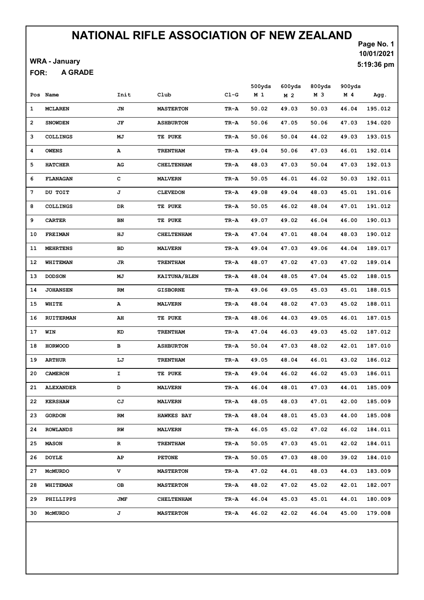WRA - January

A GRADE FOR:

|                |                  |      |                     |        | 500yds         | 600yds         | 800yds | 900yds         |               |
|----------------|------------------|------|---------------------|--------|----------------|----------------|--------|----------------|---------------|
|                | Pos Name         | Init | Club                | $C1-G$ | M <sub>1</sub> | M <sub>2</sub> | M 3    | M <sub>4</sub> | Agg.          |
| 1              | <b>MCLAREN</b>   | JN   | <b>MASTERTON</b>    | TR-A   | 50.02          | 49.03          | 50.03  | 46.04          | 195.012       |
| $\overline{2}$ | <b>SNOWDEN</b>   | JF   | <b>ASHBURTON</b>    | TR-A   | 50.06          | 47.05          | 50.06  | 47.03          | 194.020       |
| з              | <b>COLLINGS</b>  | МJ   | TE PUKE             | TR-A   | 50.06          | 50.04          | 44.02  | 49.03          | 193.015       |
| 4              | <b>OWENS</b>     | А    | <b>TRENTHAM</b>     | TR-A   | 49.04          | 50.06          | 47.03  | 46.01          | 192.014       |
| 5              | <b>HATCHER</b>   | AG   | <b>CHELTENHAM</b>   | TR-A   | 48.03          | 47.03          | 50.04  | 47.03          | 192.013       |
| 6              | <b>FLANAGAN</b>  | c    | <b>MALVERN</b>      | TR-A   | 50.05          | 46.01          | 46.02  | 50.03          | 192.011       |
| 7              | DU TOIT          | J    | <b>CLEVEDON</b>     | TR-A   | 49.08          | 49.04          | 48.03  | 45.01          | 191.016       |
| 8              | <b>COLLINGS</b>  | DR   | TE PUKE             | TR-A   | 50.05          | 46.02          | 48.04  | 47.01          | 191.012       |
| 9              | <b>CARTER</b>    | BN   | TE PUKE             | TR-A   | 49.07          | 49.02          | 46.04  | 46.00          | 190.013       |
| 10             | FREIMAN          | ΗJ   | <b>CHELTENHAM</b>   | TR-A   | 47.04          | 47.01          | 48.04  | 48.03          | 190.012       |
| 11             | <b>MEHRTENS</b>  | BD   | <b>MALVERN</b>      | TR-A   | 49.04          | 47.03          | 49.06  | 44.04          | 189.017       |
| 12             | WHITEMAN         | JR   | <b>TRENTHAM</b>     | TR-A   | 48.07          | 47.02          | 47.03  | 47.02          | 189.014       |
| 13             | <b>DODSON</b>    | MJ   | <b>KAITUNA/BLEN</b> | TR-A   | 48.04          | 48.05          | 47.04  | 45.02          | 188.015       |
| 14             | <b>JOHANSEN</b>  | RM   | <b>GISBORNE</b>     | TR-A   | 49.06          | 49.05          | 45.03  | 45.01          | 188.015       |
| 15             | WHITE            | А    | <b>MALVERN</b>      | TR-A   | 48.04          | 48.02          | 47.03  | 45.02          | 188.011       |
| 16             | <b>RUITERMAN</b> | AH   | TE PUKE             | TR-A   | 48.06          | 44.03          | 49.05  | 46.01          | 187.015       |
| 17             | WIN              | KD   | <b>TRENTHAM</b>     | TR-A   | 47.04          | 46.03          | 49.03  | 45.02          | 187.012       |
| 18             | <b>HORWOOD</b>   | в    | <b>ASHBURTON</b>    | TR-A   | 50.04          | 47.03          | 48.02  | 42.01          | 187.010       |
| 19             | <b>ARTHUR</b>    | LJ   | <b>TRENTHAM</b>     | TR-A   | 49.05          | 48.04          | 46.01  | 43.02          | 186.012       |
| 20             | <b>CAMERON</b>   | I    | TE PUKE             | TR-A   | 49.04          | 46.02          | 46.02  | 45.03          | 186.011       |
| 21             | <b>ALEXANDER</b> | D    | <b>MALVERN</b>      | TR-A   | 46.04          | 48.01          | 47.03  | 44.01          | 185.009       |
|                | 22 KERSHAW       | СJ   | <b>MALVERN</b>      | TR-A   | 48.05          | 48.03          | 47.01  |                | 42.00 185.009 |
| 23             | <b>GORDON</b>    | RM   | <b>HAWKES BAY</b>   | TR-A   | 48.04          | 48.01          | 45.03  | 44.00          | 185.008       |
| 24             | <b>ROWLANDS</b>  | RW   | <b>MALVERN</b>      | TR-A   | 46.05          | 45.02          | 47.02  | 46.02          | 184.011       |
| 25             | <b>MASON</b>     | R    | TRENTHAM            | TR-A   | 50.05          | 47.03          | 45.01  | 42.02          | 184.011       |
| 26             | <b>DOYLE</b>     | AP.  | <b>PETONE</b>       | TR-A   | 50.05          | 47.03          | 48.00  | 39.02          | 184.010       |
| 27             | <b>MCMURDO</b>   | v    | <b>MASTERTON</b>    | TR-A   | 47.02          | 44.01          | 48.03  | 44.03          | 183.009       |
| 28             | WHITEMAN         | OВ   | <b>MASTERTON</b>    | TR-A   | 48.02          | 47.02          | 45.02  | 42.01          | 182.007       |
| 29             | PHILLIPPS        | JMF  | <b>CHELTENHAM</b>   | TR-A   | 46.04          | 45.03          | 45.01  | 44.01          | 180.009       |
| 30 -           | McMURDO          | J    | <b>MASTERTON</b>    | TR-A   | 46.02          | 42.02          | 46.04  | 45.00          | 179.008       |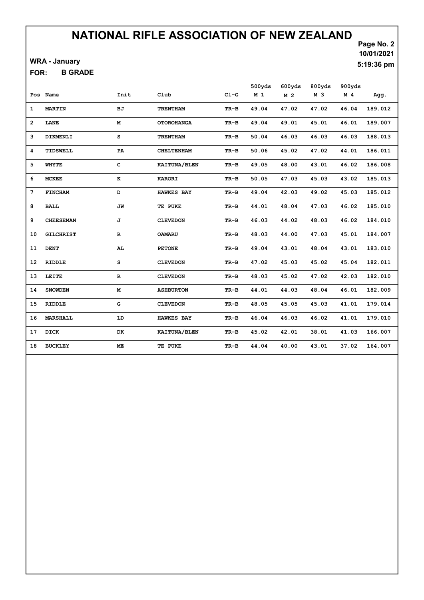WRA - January

B GRADE FOR:

Page No. 2 10/01/2021 5:19:36 pm

|    |                  |               |                     |        | 500yds         | 600yds         | 800yds | 900yds         |         |
|----|------------------|---------------|---------------------|--------|----------------|----------------|--------|----------------|---------|
|    | Pos Name         | Init          | Club                | $C1-G$ | M <sub>1</sub> | M <sub>2</sub> | M 3    | M <sub>4</sub> | Agg.    |
| 1  | <b>MARTIN</b>    | вJ            | <b>TRENTHAM</b>     | TR-B   | 49.04          | 47.02          | 47.02  | 46.04          | 189.012 |
| 2  | LANE             | М             | <b>OTOROHANGA</b>   | TR-B   | 49.04          | 49.01          | 45.01  | 46.01          | 189.007 |
| 3  | DIKMENLI         | s             | <b>TRENTHAM</b>     | $TR-B$ | 50.04          | 46.03          | 46.03  | 46.03          | 188.013 |
| 4  | TIDSWELL         | PA            | <b>CHELTENHAM</b>   | TR-B   | 50.06          | 45.02          | 47.02  | 44.01          | 186.011 |
| 5  | <b>WHYTE</b>     | c             | <b>KAITUNA/BLEN</b> | TR-B   | 49.05          | 48.00          | 43.01  | 46.02          | 186.008 |
| 6  | <b>MCKEE</b>     | $\bf K$       | <b>KARORI</b>       | TR-B   | 50.05          | 47.03          | 45.03  | 43.02          | 185.013 |
| 7  | <b>FINCHAM</b>   | D             | <b>HAWKES BAY</b>   | TR-B   | 49.04          | 42.03          | 49.02  | 45.03          | 185.012 |
| 8  | <b>BALL</b>      | JW            | TE PUKE             | TR-B   | 44.01          | 48.04          | 47.03  | 46.02          | 185.010 |
| 9  | <b>CHEESEMAN</b> | J             | <b>CLEVEDON</b>     | TR-B   | 46.03          | 44.02          | 48.03  | 46.02          | 184.010 |
| 10 | <b>GILCHRIST</b> | R             | <b>OAMARU</b>       | TR-B   | 48.03          | 44.00          | 47.03  | 45.01          | 184.007 |
| 11 | <b>DENT</b>      | AL.           | <b>PETONE</b>       | TR-B   | 49.04          | 43.01          | 48.04  | 43.01          | 183.010 |
| 12 | <b>RIDDLE</b>    | s             | <b>CLEVEDON</b>     | TR-B   | 47.02          | 45.03          | 45.02  | 45.04          | 182.011 |
| 13 | LEITE            | ${\bf R}$     | <b>CLEVEDON</b>     | TR-B   | 48.03          | 45.02          | 47.02  | 42.03          | 182.010 |
| 14 | <b>SNOWDEN</b>   | $\mathbf M$   | <b>ASHBURTON</b>    | TR-B   | 44.01          | 44.03          | 48.04  | 46.01          | 182.009 |
| 15 | <b>RIDDLE</b>    | ${\mathbb G}$ | <b>CLEVEDON</b>     | TR-B   | 48.05          | 45.05          | 45.03  | 41.01          | 179.014 |
| 16 | <b>MARSHALL</b>  | LD            | <b>HAWKES BAY</b>   | TR-B   | 46.04          | 46.03          | 46.02  | 41.01          | 179.010 |
| 17 | DICK             | DK            | KAITUNA/BLEN        | TR-B   | 45.02          | 42.01          | 38.01  | 41.03          | 166.007 |
| 18 | <b>BUCKLEY</b>   | <b>ME</b>     | TE PUKE             | $TR-B$ | 44.04          | 40.00          | 43.01  | 37.02          | 164.007 |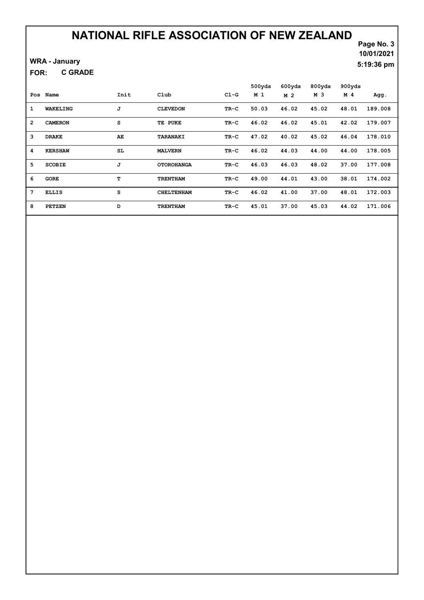### WRA - January

C GRADE FOR:

## Page No. 3 10/01/2021 5:19:36 pm

|                 |                 |      |                   |        | 500yds         | 600yds         | 800yds | 900yds         |         |
|-----------------|-----------------|------|-------------------|--------|----------------|----------------|--------|----------------|---------|
| Pos             | Name            | Init | Club              | $CL-G$ | M <sub>1</sub> | M <sub>2</sub> | M 3    | M <sub>4</sub> | Agg.    |
| 1               | <b>WAKELING</b> | J    | <b>CLEVEDON</b>   | TR-C   | 50.03          | 46.02          | 45.02  | 48.01          | 189.008 |
| $\overline{2}$  | <b>CAMERON</b>  | S    | TE PUKE           | $TR-C$ | 46.02          | 46.02          | 45.01  | 42.02          | 179.007 |
| 3               | <b>DRAKE</b>    | AE   | TARANAKI          | TR-C   | 47.02          | 40.02          | 45.02  | 46.04          | 178.010 |
| 4               | <b>KERSHAW</b>  | SL   | <b>MALVERN</b>    | $TR-C$ | 46.02          | 44.03          | 44.00  | 44.00          | 178.005 |
| 5.              | <b>SCOBIE</b>   | J    | <b>OTOROHANGA</b> | $TR-C$ | 46.03          | 46.03          | 48.02  | 37.00          | 177.008 |
| 6               | <b>GORE</b>     | т    | <b>TRENTHAM</b>   | TR-C   | 49.00          | 44.01          | 43.00  | 38.01          | 174.002 |
| $7\phantom{.0}$ | <b>ELLIS</b>    | S    | <b>CHELTENHAM</b> | TR-C   | 46.02          | 41.00          | 37.00  | 48.01          | 172.003 |
| 8               | <b>PETZEN</b>   | D    | <b>TRENTHAM</b>   | TR-C   | 45.01          | 37.00          | 45.03  | 44.02          | 171.006 |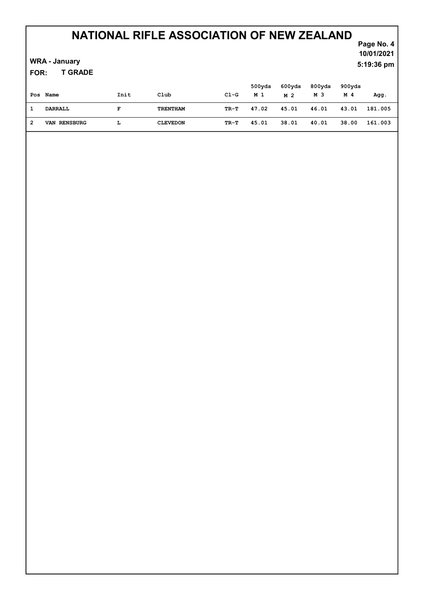### WRA - January

T GRADE FOR:

## Page No. 4 10/01/2021 5:19:36 pm

|   | Pos Name     | Init | Club            | $CL-G$ | 500yds<br>M 1 | 600yds<br>M 2 | 800yds<br>M 3 | 900yds<br>M 4 | Agg.    |
|---|--------------|------|-----------------|--------|---------------|---------------|---------------|---------------|---------|
|   | DARRALL      | F    | TRENTHAM        | TR-T   | 47.02         | 45.01         | 46.01         | 43.01         | 181.005 |
| 2 | VAN RENSBURG |      | <b>CLEVEDON</b> | TR-T   | 45.01         | 38.01         | 40.01         | 38.00         | 161.003 |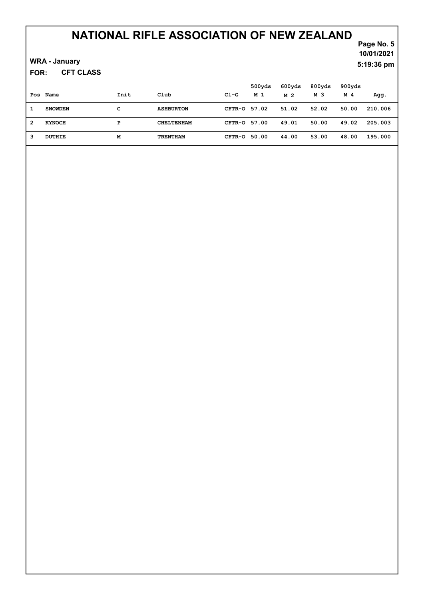### WRA - January

CFT CLASS FOR:

| Pos | Name           | Init | Club              | C1-G         | 500yds<br>M 1 | 600yds<br>M 2 | 800yds<br>M 3 | 900yds<br>M 4 | Agg.    |
|-----|----------------|------|-------------------|--------------|---------------|---------------|---------------|---------------|---------|
|     | <b>SNOWDEN</b> | с    | <b>ASHBURTON</b>  | CFTR-0 57.02 |               | 51.02         | 52.02         | 50.00         | 210.006 |
| 2   | <b>KYNOCH</b>  | Р    | <b>CHELTENHAM</b> | CFTR-0 57.00 |               | 49.01         | 50.00         | 49.02         | 205.003 |
| 3   | DUTHIE         | M    | <b>TRENTHAM</b>   | CFTR-0 50.00 |               | 44.00         | 53.00         | 48.00         | 195.000 |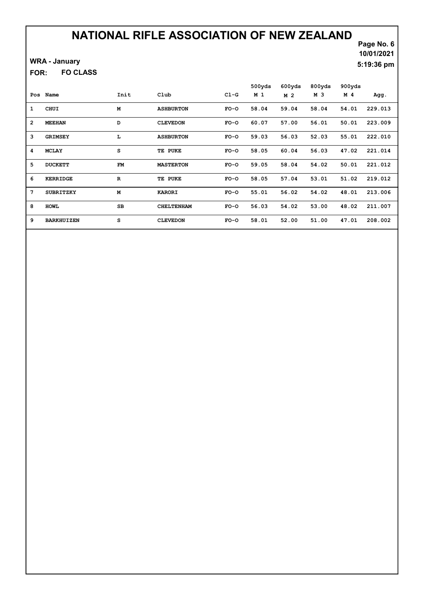### WRA - January

FO CLASS FOR:

## Page No. 6 10/01/2021 5:19:36 pm

| Pos            | Name              | Init      | Club              | $C1-G$ | 500yds<br>M <sub>1</sub> | 600yds<br>M 2 | 800yds<br>M 3 | 900yds<br>M 4 | Agg.    |
|----------------|-------------------|-----------|-------------------|--------|--------------------------|---------------|---------------|---------------|---------|
| $\mathbf{1}$   | CHUI              | M         | <b>ASHBURTON</b>  | $FO-O$ | 58.04                    | 59.04         | 58.04         | 54.01         | 229.013 |
| $\overline{2}$ | <b>MEEHAN</b>     | D         | <b>CLEVEDON</b>   | $FO-O$ | 60.07                    | 57.00         | 56.01         | 50.01         | 223.009 |
| 3              | <b>GRIMSEY</b>    | L         | <b>ASHBURTON</b>  | $FO-O$ | 59.03                    | 56.03         | 52.03         | 55.01         | 222.010 |
| 4              | <b>MCLAY</b>      | s         | TE PUKE           | $FO-O$ | 58.05                    | 60.04         | 56.03         | 47.02         | 221.014 |
| 5              | <b>DUCKETT</b>    | <b>FM</b> | <b>MASTERTON</b>  | $FO-O$ | 59.05                    | 58.04         | 54.02         | 50.01         | 221.012 |
| 6              | KERRIDGE          | ${\bf R}$ | TE PUKE           | $FO-O$ | 58.05                    | 57.04         | 53.01         | 51.02         | 219.012 |
| 7              | <b>SUBRITZKY</b>  | M         | <b>KARORI</b>     | $FO-O$ | 55.01                    | 56.02         | 54.02         | 48.01         | 213.006 |
| 8              | <b>HOWL</b>       | <b>SB</b> | <b>CHELTENHAM</b> | $FO-O$ | 56.03                    | 54.02         | 53.00         | 48.02         | 211.007 |
| 9              | <b>BARKHUIZEN</b> | s         | <b>CLEVEDON</b>   | $FO-O$ | 58.01                    | 52.00         | 51.00         | 47.01         | 208.002 |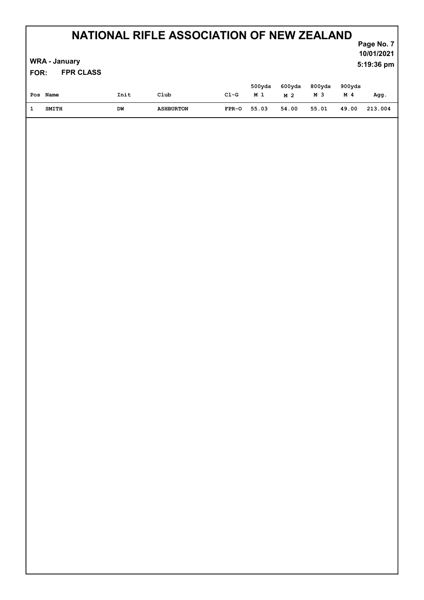### WRA - January

FPR CLASS FOR:

## Page No. 7 10/01/2021 5:19:36 pm

| Pos Name     | Init | Club             | C1-G    | 500yds<br>M 1 | 600yds<br>M 2 | 800yds<br>M 3 | 900yds<br>M 4 | Agg.    |
|--------------|------|------------------|---------|---------------|---------------|---------------|---------------|---------|
| <b>SMITH</b> | DW   | <b>ASHBURTON</b> | $FPR-O$ | 55.03         | 54.00         | 55.01         | 49.00         | 213.004 |